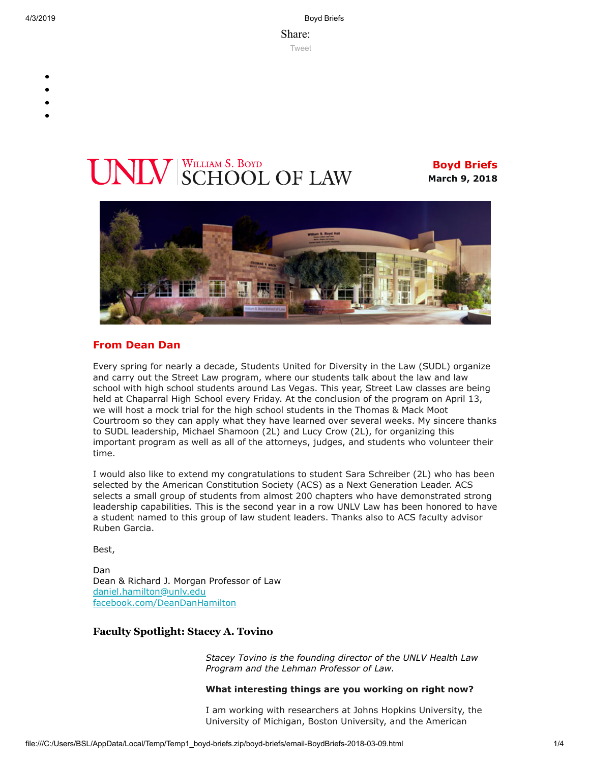4/3/2019 Boyd Briefs

Share: [Tweet](https://twitter.com/intent/tweet?ref_src=twsrc%5Etfw&text=Boyd%20Briefs&tw_p=tweetbutton&url=file%3A%2F%2F%2FC%3A%2FUsers%2FBSL%2FAppData%2FLocal%2FTemp%2FTemp1_boyd-briefs.zip%2Fboyd-briefs%2Femail-BoydBriefs-2018-03-09.html)

- 
- 
- 
- 
- 

# **INIV** SCHOOL OF LAW

**Boyd Briefs March 9, 2018**



## **From Dean Dan**

Every spring for nearly a decade, Students United for Diversity in the Law (SUDL) organize and carry out the Street Law program, where our students talk about the law and law school with high school students around Las Vegas. This year, Street Law classes are being held at Chaparral High School every Friday. At the conclusion of the program on April 13, we will host a mock trial for the high school students in the Thomas & Mack Moot Courtroom so they can apply what they have learned over several weeks. My sincere thanks to SUDL leadership, Michael Shamoon (2L) and Lucy Crow (2L), for organizing this important program as well as all of the attorneys, judges, and students who volunteer their time.

I would also like to extend my congratulations to student Sara Schreiber (2L) who has been selected by the American Constitution Society (ACS) as a Next Generation Leader. ACS selects a small group of students from almost 200 chapters who have demonstrated strong leadership capabilities. This is the second year in a row UNLV Law has been honored to have a student named to this group of law student leaders. Thanks also to ACS faculty advisor Ruben Garcia.

Best,

Dan Dean & Richard J. Morgan Professor of Law [daniel.hamilton@unlv.edu](mailto:daniel.hamilton@unlv.edu) [facebook.com/DeanDanHamilton](https://www.facebook.com/DeanDanHamilton)

## **Faculty Spotlight: Stacey A. Tovino**

*Stacey Tovino is the founding director of the UNLV Health Law Program and the Lehman Professor of Law.*

#### **What interesting things are you working on right now?**

I am working with researchers at Johns Hopkins University, the University of Michigan, Boston University, and the American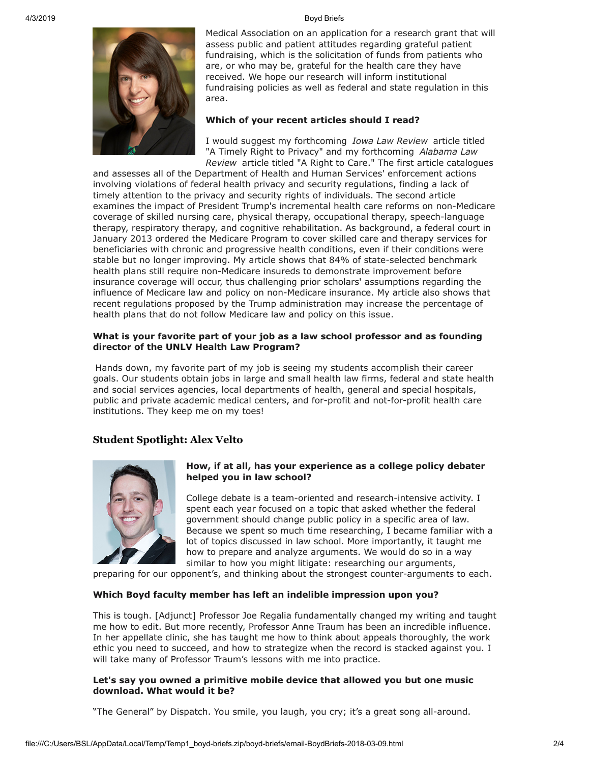

Medical Association on an application for a research grant that will assess public and patient attitudes regarding grateful patient fundraising, which is the solicitation of funds from patients who are, or who may be, grateful for the health care they have received. We hope our research will inform institutional fundraising policies as well as federal and state regulation in this area.

#### **Which of your recent articles should I read?**

I would suggest my forthcoming *Iowa Law Review* article titled "A Timely Right to Privacy" and my forthcoming *Alabama Law Review* article titled "A Right to Care." The first article catalogues

and assesses all of the Department of Health and Human Services' enforcement actions involving violations of federal health privacy and security regulations, finding a lack of timely attention to the privacy and security rights of individuals. The second article examines the impact of President Trump's incremental health care reforms on non-Medicare coverage of skilled nursing care, physical therapy, occupational therapy, speech-language therapy, respiratory therapy, and cognitive rehabilitation. As background, a federal court in January 2013 ordered the Medicare Program to cover skilled care and therapy services for beneficiaries with chronic and progressive health conditions, even if their conditions were stable but no longer improving. My article shows that 84% of state-selected benchmark health plans still require non-Medicare insureds to demonstrate improvement before insurance coverage will occur, thus challenging prior scholars' assumptions regarding the influence of Medicare law and policy on non-Medicare insurance. My article also shows that recent regulations proposed by the Trump administration may increase the percentage of health plans that do not follow Medicare law and policy on this issue.

#### **What is your favorite part of your job as a law school professor and as founding director of the UNLV Health Law Program?**

Hands down, my favorite part of my job is seeing my students accomplish their career goals. Our students obtain jobs in large and small health law firms, federal and state health and social services agencies, local departments of health, general and special hospitals, public and private academic medical centers, and for-profit and not-for-profit health care institutions. They keep me on my toes!

### **Student Spotlight: Alex Velto**



#### **How, if at all, has your experience as a college policy debater helped you in law school?**

College debate is a team-oriented and research-intensive activity. I spent each year focused on a topic that asked whether the federal government should change public policy in a specific area of law. Because we spent so much time researching, I became familiar with a lot of topics discussed in law school. More importantly, it taught me how to prepare and analyze arguments. We would do so in a way similar to how you might litigate: researching our arguments,

preparing for our opponent's, and thinking about the strongest counter-arguments to each.

#### **Which Boyd faculty member has left an indelible impression upon you?**

This is tough. [Adjunct] Professor Joe Regalia fundamentally changed my writing and taught me how to edit. But more recently, Professor Anne Traum has been an incredible influence. In her appellate clinic, she has taught me how to think about appeals thoroughly, the work ethic you need to succeed, and how to strategize when the record is stacked against you. I will take many of Professor Traum's lessons with me into practice.

#### **Let's say you owned a primitive mobile device that allowed you but one music download. What would it be?**

"The General" by Dispatch. You smile, you laugh, you cry; it's a great song all-around.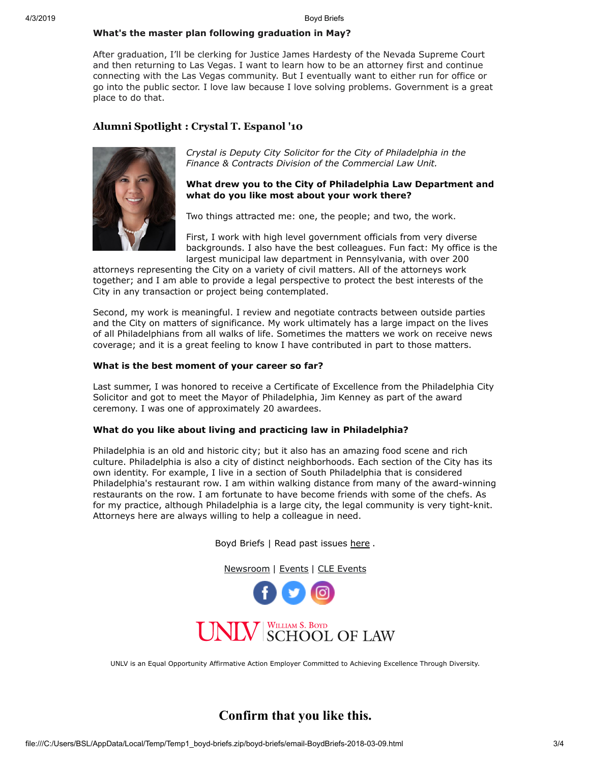#### **What's the master plan following graduation in May?**

After graduation, I'll be clerking for Justice James Hardesty of the Nevada Supreme Court and then returning to Las Vegas. I want to learn how to be an attorney first and continue connecting with the Las Vegas community. But I eventually want to either run for office or go into the public sector. I love law because I love solving problems. Government is a great place to do that.

## **Alumni Spotlight : Crystal T. Espanol '10**



*Crystal is Deputy City Solicitor for the City of Philadelphia in the Finance & Contracts Division of the Commercial Law Unit.*

#### **What drew you to the City of Philadelphia Law Department and what do you like most about your work there?**

Two things attracted me: one, the people; and two, the work.

First, I work with high level government officials from very diverse backgrounds. I also have the best colleagues. Fun fact: My office is the largest municipal law department in Pennsylvania, with over 200

attorneys representing the City on a variety of civil matters. All of the attorneys work together; and I am able to provide a legal perspective to protect the best interests of the City in any transaction or project being contemplated.

Second, my work is meaningful. I review and negotiate contracts between outside parties and the City on matters of significance. My work ultimately has a large impact on the lives of all Philadelphians from all walks of life. Sometimes the matters we work on receive news coverage; and it is a great feeling to know I have contributed in part to those matters.

#### **What is the best moment of your career so far?**

Last summer, I was honored to receive a Certificate of Excellence from the Philadelphia City Solicitor and got to meet the Mayor of Philadelphia, Jim Kenney as part of the award ceremony. I was one of approximately 20 awardees.

#### **What do you like about living and practicing law in Philadelphia?**

Philadelphia is an old and historic city; but it also has an amazing food scene and rich culture. Philadelphia is also a city of distinct neighborhoods. Each section of the City has its own identity. For example, I live in a section of South Philadelphia that is considered Philadelphia's restaurant row. I am within walking distance from many of the award-winning restaurants on the row. I am fortunate to have become friends with some of the chefs. As for my practice, although Philadelphia is a large city, the legal community is very tight-knit. Attorneys here are always willing to help a colleague in need.

Boyd Briefs | Read past issues [here](https://law.unlv.edu/news/publications/boyd-briefs?field_newsletter_year_value[value][year]=2018) .

[Newsroom](https://law.unlv.edu/newsroom) | [Events](https://law.unlv.edu/events) | [CLE Events](https://law.unlv.edu/cle-events.html)





UNLV is an Equal Opportunity Affirmative Action Employer Committed to Achieving Excellence Through Diversity.

## **Confirm that you like this.**